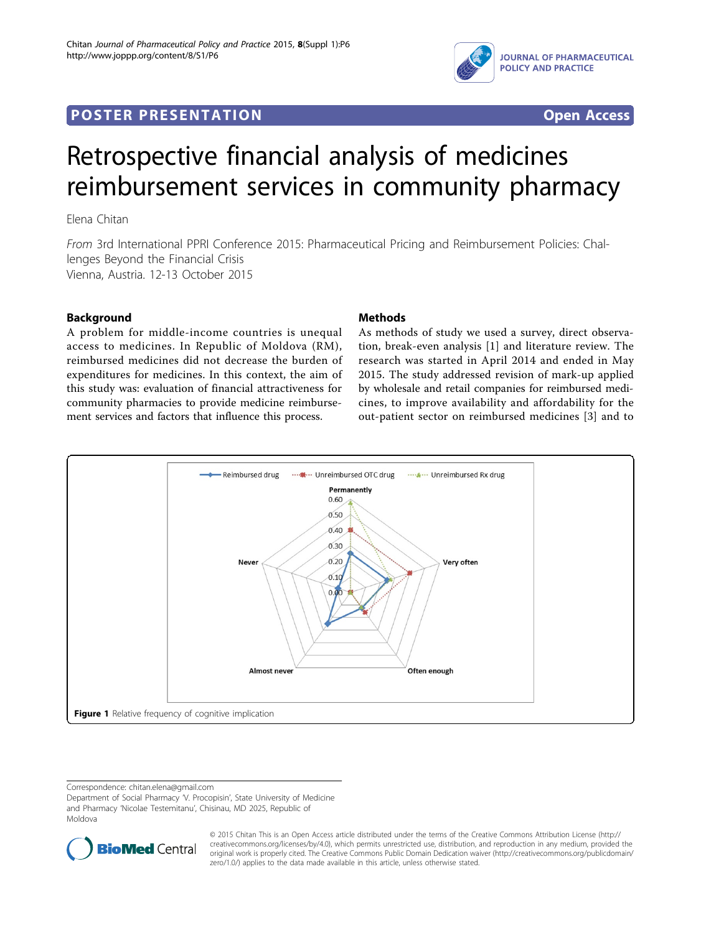## <span id="page-0-0"></span>**POSTER PRESENTATION CONSUMING ACCESS**



# Retrospective financial analysis of medicines reimbursement services in community pharmacy

Elena Chitan

From 3rd International PPRI Conference 2015: Pharmaceutical Pricing and Reimbursement Policies: Challenges Beyond the Financial Crisis Vienna, Austria. 12-13 October 2015

#### Background

A problem for middle-income countries is unequal access to medicines. In Republic of Moldova (RM), reimbursed medicines did not decrease the burden of expenditures for medicines. In this context, the aim of this study was: evaluation of financial attractiveness for community pharmacies to provide medicine reimbursement services and factors that influence this process.

#### Methods

As methods of study we used a survey, direct observation, break-even analysis [\[1](#page-2-0)] and literature review. The research was started in April 2014 and ended in May 2015. The study addressed revision of mark-up applied by wholesale and retail companies for reimbursed medicines, to improve availability and affordability for the out-patient sector on reimbursed medicines [\[3](#page-2-0)] and to



Correspondence: [chitan.elena@gmail.com](mailto:chitan.elena@gmail.com)

Department of Social Pharmacy 'V. Procopisin', State University of Medicine and Pharmacy 'Nicolae Testemitanu', Chisinau, MD 2025, Republic of Moldova



© 2015 Chitan This is an Open Access article distributed under the terms of the Creative Commons Attribution License ([http://](http://creativecommons.org/licenses/by/4.0) [creativecommons.org/licenses/by/4.0](http://creativecommons.org/licenses/by/4.0)), which permits unrestricted use, distribution, and reproduction in any medium, provided the original work is properly cited. The Creative Commons Public Domain Dedication waiver ([http://creativecommons.org/publicdomain/](http://creativecommons.org/publicdomain/zero/1.0/) [zero/1.0/](http://creativecommons.org/publicdomain/zero/1.0/)) applies to the data made available in this article, unless otherwise stated.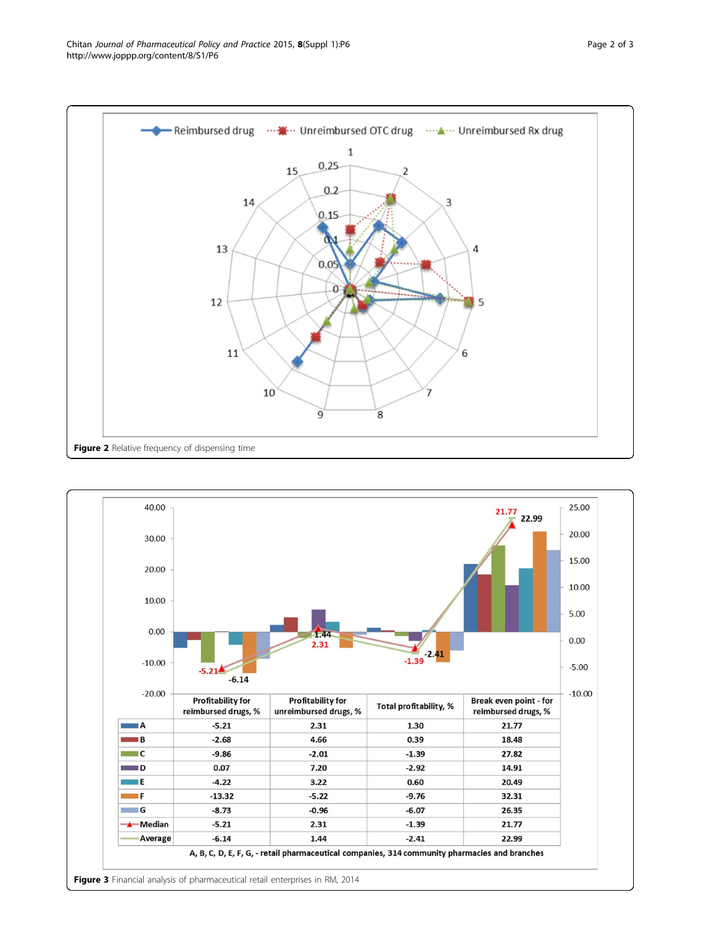<span id="page-1-0"></span>Chitan Journal of Pharmaceutical Policy and Practice 2015, 8(Suppl 1):P6 http://www.joppp.org/content/8/S1/P6